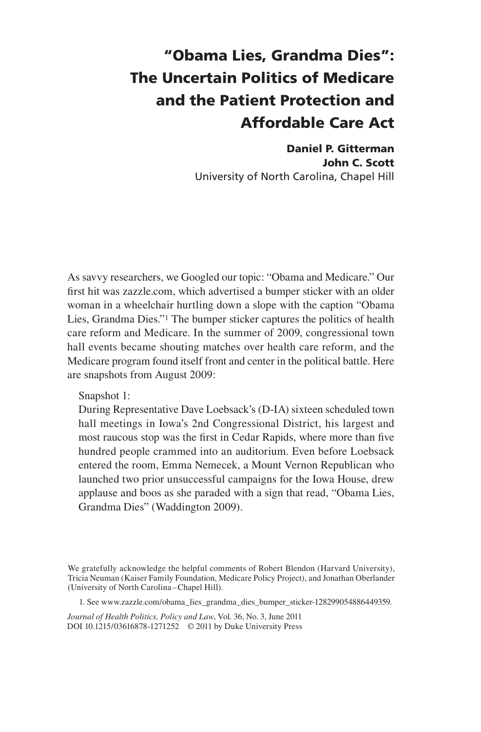## "Obama Lies, Grandma Dies": The Uncertain Politics of Medicare and the Patient Protection and Affordable Care Act

Daniel P. Gitterman John C. Scott University of North Carolina, Chapel Hill

As savvy researchers, we Googled our topic: "Obama and Medicare." Our first hit was zazzle.com, which advertised a bumper sticker with an older woman in a wheelchair hurtling down a slope with the caption "Obama Lies, Grandma Dies."1 The bumper sticker captures the politics of health care reform and Medicare. In the summer of 2009, congressional town hall events became shouting matches over health care reform, and the Medicare program found itself front and center in the political battle. Here are snapshots from August 2009:

Snapshot 1:

During Representative Dave Loebsack's (D-IA) sixteen scheduled town hall meetings in Iowa's 2nd Congressional District, his largest and most raucous stop was the first in Cedar Rapids, where more than five hundred people crammed into an auditorium. Even before Loebsack entered the room, Emma Nemecek, a Mount Vernon Republican who launched two prior unsuccessful campaigns for the Iowa House, drew applause and boos as she paraded with a sign that read, "Obama Lies, Grandma Dies" (Waddington 2009).

We gratefully acknowledge the helpful comments of Robert Blendon (Harvard University), Tricia Neuman (Kaiser Family Foundation, Medicare Policy Project), and Jonathan Oberlander (University of North Carolina –Chapel Hill).

1. See www.zazzle.com/obama\_lies\_grandma\_dies\_bumper\_sticker-128299054886449359.

*Journal of Health Politics, Policy and Law*, Vol. 36, No. 3, June 2011 DOI 10.1215/03616878-1271252 © 2011 by Duke University Press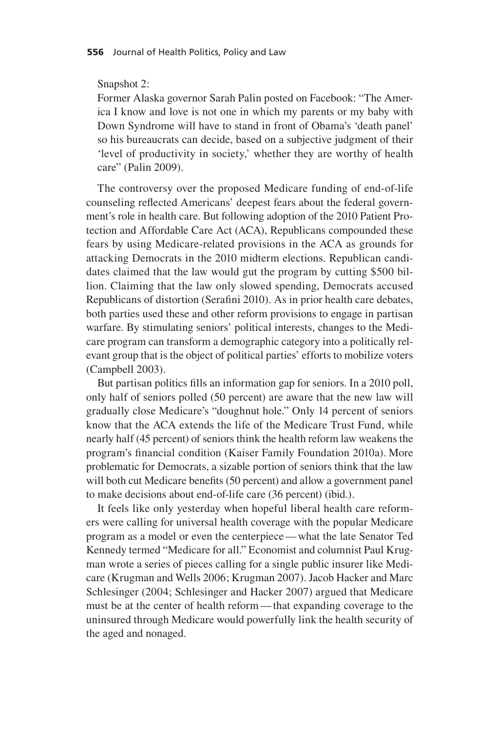## Snapshot 2:

Former Alaska governor Sarah Palin posted on Facebook: "The America I know and love is not one in which my parents or my baby with Down Syndrome will have to stand in front of Obama's 'death panel' so his bureaucrats can decide, based on a subjective judgment of their 'level of productivity in society,' whether they are worthy of health care" (Palin 2009).

The controversy over the proposed Medicare funding of end-of-life counseling reflected Americans' deepest fears about the federal government's role in health care. But following adoption of the 2010 Patient Protection and Affordable Care Act (ACA), Republicans compounded these fears by using Medicare-related provisions in the ACA as grounds for attacking Democrats in the 2010 midterm elections. Republican candidates claimed that the law would gut the program by cutting \$500 billion. Claiming that the law only slowed spending, Democrats accused Republicans of distortion (Serafini 2010). As in prior health care debates, both parties used these and other reform provisions to engage in partisan warfare. By stimulating seniors' political interests, changes to the Medicare program can transform a demographic category into a politically relevant group that is the object of political parties' efforts to mobilize voters (Campbell 2003).

But partisan politics fills an information gap for seniors. In a 2010 poll, only half of seniors polled (50 percent) are aware that the new law will gradually close Medicare's "doughnut hole." Only 14 percent of seniors know that the ACA extends the life of the Medicare Trust Fund, while nearly half (45 percent) of seniors think the health reform law weakens the program's financial condition (Kaiser Family Foundation 2010a). More problematic for Democrats, a sizable portion of seniors think that the law will both cut Medicare benefits (50 percent) and allow a government panel to make decisions about end-of-life care (36 percent) (ibid.).

It feels like only yesterday when hopeful liberal health care reformers were calling for universal health coverage with the popular Medicare program as a model or even the centerpiece— what the late Senator Ted Kennedy termed "Medicare for all." Economist and columnist Paul Krugman wrote a series of pieces calling for a single public insurer like Medicare (Krugman and Wells 2006; Krugman 2007). Jacob Hacker and Marc Schlesinger (2004; Schlesinger and Hacker 2007) argued that Medicare must be at the center of health reform— that expanding coverage to the uninsured through Medicare would powerfully link the health security of the aged and nonaged.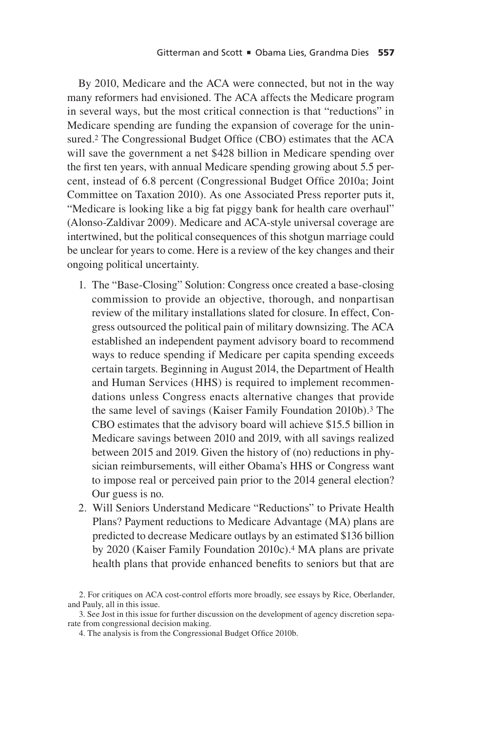By 2010, Medicare and the ACA were connected, but not in the way many reformers had envisioned. The ACA affects the Medicare program in several ways, but the most critical connection is that "reductions" in Medicare spending are funding the expansion of coverage for the uninsured.2 The Congressional Budget Office (CBO) estimates that the ACA will save the government a net \$428 billion in Medicare spending over the first ten years, with annual Medicare spending growing about 5.5 percent, instead of 6.8 percent (Congressional Budget Office 2010a; Joint Committee on Taxation 2010). As one Associated Press reporter puts it, "Medicare is looking like a big fat piggy bank for health care overhaul" (Alonso-Zaldivar 2009). Medicare and ACA-style universal coverage are intertwined, but the political consequences of this shotgun marriage could be unclear for years to come. Here is a review of the key changes and their ongoing political uncertainty.

- 1. The "Base-Closing" Solution: Congress once created a base-closing commission to provide an objective, thorough, and nonpartisan review of the military installations slated for closure. In effect, Congress outsourced the political pain of military downsizing. The ACA established an independent payment advisory board to recommend ways to reduce spending if Medicare per capita spending exceeds certain targets. Beginning in August 2014, the Department of Health and Human Services (HHS) is required to implement recommendations unless Congress enacts alternative changes that provide the same level of savings (Kaiser Family Foundation 2010b).<sup>3</sup> The CBO estimates that the advisory board will achieve \$15.5 billion in Medicare savings between 2010 and 2019, with all savings realized between 2015 and 2019. Given the history of (no) reductions in physician reimbursements, will either Obama's HHS or Congress want to impose real or perceived pain prior to the 2014 general election? Our guess is no.
- 2. Will Seniors Understand Medicare "Reductions" to Private Health Plans? Payment reductions to Medicare Advantage (MA) plans are predicted to decrease Medicare outlays by an estimated \$136 billion by 2020 (Kaiser Family Foundation 2010c).4 MA plans are private health plans that provide enhanced benefits to seniors but that are

4. The analysis is from the Congressional Budget Office 2010b.

<sup>2.</sup> For critiques on ACA cost-control efforts more broadly, see essays by Rice, Oberlander, and Pauly, all in this issue.

<sup>3.</sup> See Jost in this issue for further discussion on the development of agency discretion separate from congressional decision making.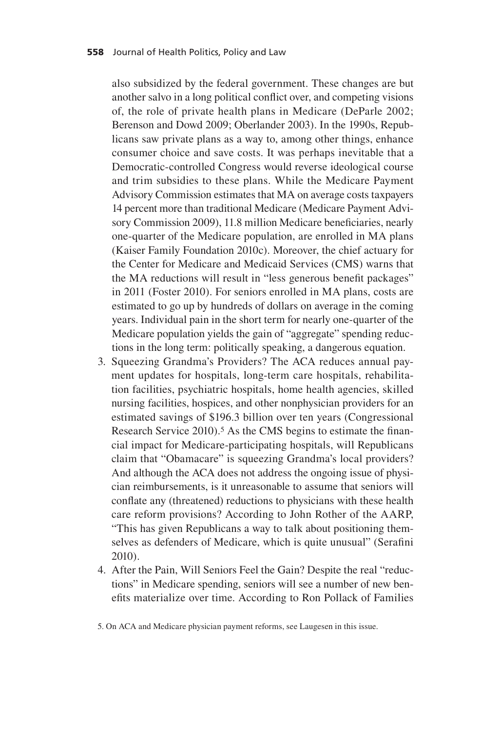also subsidized by the federal government. These changes are but another salvo in a long political conflict over, and competing visions of, the role of private health plans in Medicare (DeParle 2002; Berenson and Dowd 2009; Oberlander 2003). In the 1990s, Republicans saw private plans as a way to, among other things, enhance consumer choice and save costs. It was perhaps inevitable that a Democratic-controlled Congress would reverse ideological course and trim subsidies to these plans. While the Medicare Payment Advisory Commission estimates that MA on average costs taxpayers 14 percent more than traditional Medicare (Medicare Payment Advisory Commission 2009), 11.8 million Medicare beneficiaries, nearly one-quarter of the Medicare population, are enrolled in MA plans (Kaiser Family Foundation 2010c). Moreover, the chief actuary for the Center for Medicare and Medicaid Services (CMS) warns that the MA reductions will result in "less generous benefit packages" in 2011 (Foster 2010). For seniors enrolled in MA plans, costs are estimated to go up by hundreds of dollars on average in the coming years. Individual pain in the short term for nearly one-quarter of the Medicare population yields the gain of "aggregate" spending reductions in the long term: politically speaking, a dangerous equation.

- 3. Squeezing Grandma's Providers? The ACA reduces annual payment updates for hospitals, long-term care hospitals, rehabilitation facilities, psychiatric hospitals, home health agencies, skilled nursing facilities, hospices, and other nonphysician providers for an estimated savings of \$196.3 billion over ten years (Congressional Research Service 2010).<sup>5</sup> As the CMS begins to estimate the financial impact for Medicare-participating hospitals, will Republicans claim that "Obamacare" is squeezing Grandma's local providers? And although the ACA does not address the ongoing issue of physician reimbursements, is it unreasonable to assume that seniors will conflate any (threatened) reductions to physicians with these health care reform provisions? According to John Rother of the AARP, "This has given Republicans a way to talk about positioning themselves as defenders of Medicare, which is quite unusual" (Serafini 2010).
- 4. After the Pain, Will Seniors Feel the Gain? Despite the real "reductions" in Medicare spending, seniors will see a number of new benefits materialize over time. According to Ron Pollack of Families

5. On ACA and Medicare physician payment reforms, see Laugesen in this issue.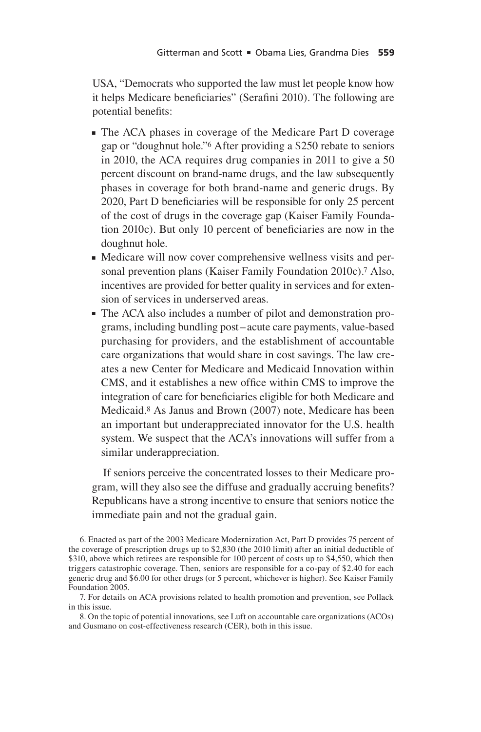USA, "Democrats who supported the law must let people know how it helps Medicare beneficiaries" (Serafini 2010). The following are potential benefits:

- <sup>n</sup> The ACA phases in coverage of the Medicare Part D coverage gap or "doughnut hole."6 After providing a \$250 rebate to seniors in 2010, the ACA requires drug companies in 2011 to give a 50 percent discount on brand-name drugs, and the law subsequently phases in coverage for both brand-name and generic drugs. By 2020, Part D beneficiaries will be responsible for only 25 percent of the cost of drugs in the coverage gap (Kaiser Family Foundation 2010c). But only 10 percent of beneficiaries are now in the doughnut hole.
- n Medicare will now cover comprehensive wellness visits and personal prevention plans (Kaiser Family Foundation 2010c).7 Also, incentives are provided for better quality in services and for extension of services in underserved areas.
- n The ACA also includes a number of pilot and demonstration programs, including bundling post–acute care payments, value-based purchasing for providers, and the establishment of accountable care organizations that would share in cost savings. The law creates a new Center for Medicare and Medicaid Innovation within CMS, and it establishes a new office within CMS to improve the integration of care for beneficiaries eligible for both Medicare and Medicaid.8 As Janus and Brown (2007) note, Medicare has been an important but underappreciated innovator for the U.S. health system. We suspect that the ACA's innovations will suffer from a similar underappreciation.

If seniors perceive the concentrated losses to their Medicare program, will they also see the diffuse and gradually accruing benefits? Republicans have a strong incentive to ensure that seniors notice the immediate pain and not the gradual gain.

6. Enacted as part of the 2003 Medicare Modernization Act, Part D provides 75 percent of the coverage of prescription drugs up to \$2,830 (the 2010 limit) after an initial deductible of \$310, above which retirees are responsible for 100 percent of costs up to \$4,550, which then triggers catastrophic coverage. Then, seniors are responsible for a co-pay of \$2.40 for each generic drug and \$6.00 for other drugs (or 5 percent, whichever is higher). See Kaiser Family Foundation 2005.

7. For details on ACA provisions related to health promotion and prevention, see Pollack in this issue.

8. On the topic of potential innovations, see Luft on accountable care organizations (ACOs) and Gusmano on cost-effectiveness research (CER), both in this issue.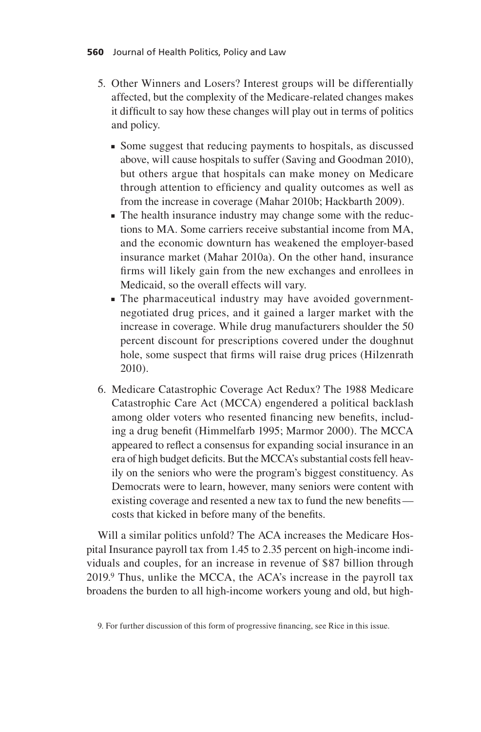- 5. Other Winners and Losers? Interest groups will be differentially affected, but the complexity of the Medicare-related changes makes it difficult to say how these changes will play out in terms of politics and policy.
	- <sup>n</sup> Some suggest that reducing payments to hospitals, as discussed above, will cause hospitals to suffer (Saving and Goodman 2010), but others argue that hospitals can make money on Medicare through attention to efficiency and quality outcomes as well as from the increase in coverage (Mahar 2010b; Hackbarth 2009).
	- n The health insurance industry may change some with the reductions to MA. Some carriers receive substantial income from MA, and the economic downturn has weakened the employer-based insurance market (Mahar 2010a). On the other hand, insurance firms will likely gain from the new exchanges and enrollees in Medicaid, so the overall effects will vary.
	- The pharmaceutical industry may have avoided governmentnegotiated drug prices, and it gained a larger market with the increase in coverage. While drug manufacturers shoulder the 50 percent discount for prescriptions covered under the doughnut hole, some suspect that firms will raise drug prices (Hilzenrath 2010).
- 6. Medicare Catastrophic Coverage Act Redux? The 1988 Medicare Catastrophic Care Act (MCCA) engendered a political backlash among older voters who resented financing new benefits, including a drug benefit (Himmelfarb 1995; Marmor 2000). The MCCA appeared to reflect a consensus for expanding social insurance in an era of high budget deficits. But the MCCA's substantial costs fell heavily on the seniors who were the program's biggest constituency. As Democrats were to learn, however, many seniors were content with existing coverage and resented a new tax to fund the new benefits costs that kicked in before many of the benefits.

Will a similar politics unfold? The ACA increases the Medicare Hospital Insurance payroll tax from 1.45 to 2.35 percent on high-income individuals and couples, for an increase in revenue of \$87 billion through 2019.9 Thus, unlike the MCCA, the ACA's increase in the payroll tax broadens the burden to all high-income workers young and old, but high-

<sup>9.</sup> For further discussion of this form of progressive financing, see Rice in this issue.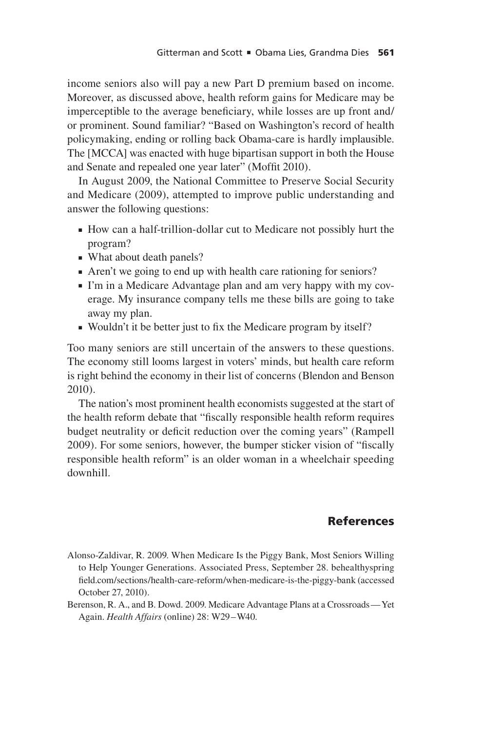income seniors also will pay a new Part D premium based on income. Moreover, as discussed above, health reform gains for Medicare may be imperceptible to the average beneficiary, while losses are up front and/ or prominent. Sound familiar? "Based on Washington's record of health policymaking, ending or rolling back Obama-care is hardly implausible. The [MCCA] was enacted with huge bipartisan support in both the House and Senate and repealed one year later" (Moffit 2010).

In August 2009, the National Committee to Preserve Social Security and Medicare (2009), attempted to improve public understanding and answer the following questions:

- <sup>n</sup> How can a half-trillion-dollar cut to Medicare not possibly hurt the program?
- What about death panels?
- <sup>n</sup> Aren't we going to end up with health care rationing for seniors?
- n I'm in a Medicare Advantage plan and am very happy with my coverage. My insurance company tells me these bills are going to take away my plan.
- <sup>n</sup> Wouldn't it be better just to fix the Medicare program by itself?

Too many seniors are still uncertain of the answers to these questions. The economy still looms largest in voters' minds, but health care reform is right behind the economy in their list of concerns (Blendon and Benson 2010).

The nation's most prominent health economists suggested at the start of the health reform debate that "fiscally responsible health reform requires budget neutrality or deficit reduction over the coming years" (Rampell 2009). For some seniors, however, the bumper sticker vision of "fiscally responsible health reform" is an older woman in a wheelchair speeding downhill.

## **References**

Alonso-Zaldivar, R. 2009. When Medicare Is the Piggy Bank, Most Seniors Willing to Help Younger Generations. Associated Press, September 28. behealthyspring field.com/sections/health-care-reform/when-medicare-is-the-piggy-bank (accessed October 27, 2010).

Berenson, R. A., and B. Dowd. 2009. Medicare Advantage Plans at a Crossroads— Yet Again. *Health Affairs* (online) 28: W29–W40.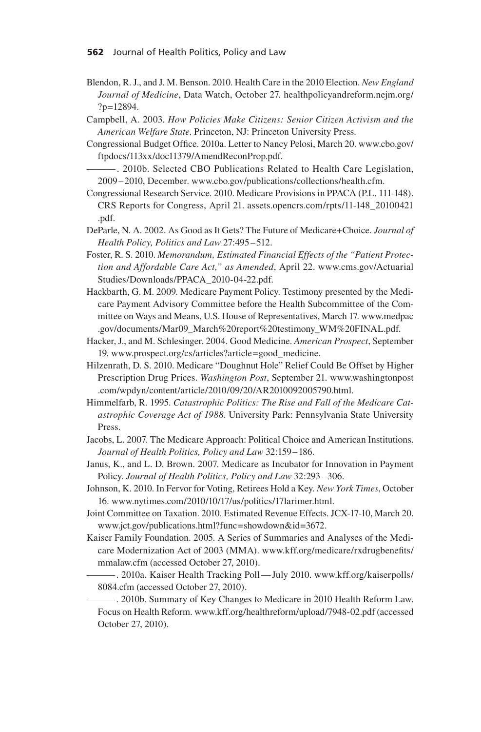- Blendon, R. J., and J. M. Benson. 2010. Health Care in the 2010 Election. *New England Journal of Medicine*, Data Watch, October 27. healthpolicyandreform.nejm.org/ ?p=12894.
- Campbell, A. 2003. *How Policies Make Citizens: Senior Citizen Activism and the American Welfare State*. Princeton, NJ: Princeton University Press.
- Congressional Budget Office. 2010a. Letter to Nancy Pelosi, March 20. www.cbo.gov/ ftpdocs/113xx/doc11379/AmendReconProp.pdf.
- -. 2010b. Selected CBO Publications Related to Health Care Legislation, 2009–2010, December. www.cbo.gov/publications/collections/health.cfm.
- Congressional Research Service. 2010. Medicare Provisions in PPACA (P.L. 111-148). CRS Reports for Congress, April 21. assets.opencrs.com/rpts/11-148\_20100421 .pdf.
- DeParle, N. A. 2002. As Good as It Gets? The Future of Medicare+Choice. *Journal of Health Policy, Politics and Law* 27:495–512.
- Foster, R. S. 2010. *Memorandum, Estimated Financial Effects of the "Patient Protection and Affordable Care Act," as Amended*, April 22. www.cms.gov/Actuarial Studies/Downloads/PPACA\_2010-04-22.pdf.
- Hackbarth, G. M. 2009. Medicare Payment Policy. Testimony presented by the Medicare Payment Advisory Committee before the Health Subcommittee of the Committee on Ways and Means, U.S. House of Representatives, March 17. www.medpac .gov/documents/Mar09\_March%20report%20testimony\_WM%20FINAL.pdf.
- Hacker, J., and M. Schlesinger. 2004. Good Medicine. *American Prospect*, September 19. www.prospect.org/cs/articles?article=good\_medicine.
- Hilzenrath, D. S. 2010. Medicare "Doughnut Hole" Relief Could Be Offset by Higher Prescription Drug Prices. *Washington Post*, September 21. www.washingtonpost .com/wpdyn/content/article/2010/09/20/AR2010092005790.html.
- Himmelfarb, R. 1995. *Catastrophic Politics: The Rise and Fall of the Medicare Catastrophic Coverage Act of 1988*. University Park: Pennsylvania State University Press.
- Jacobs, L. 2007. The Medicare Approach: Political Choice and American Institutions. *Journal of Health Politics, Policy and Law* 32:159–186.
- Janus, K., and L. D. Brown. 2007. Medicare as Incubator for Innovation in Payment Policy. *Journal of Health Politics, Policy and Law* 32:293–306.
- Johnson, K. 2010. In Fervor for Voting, Retirees Hold a Key. *New York Times*, October 16. www.nytimes.com/2010/10/17/us/politics/17larimer.html.
- Joint Committee on Taxation. 2010. Estimated Revenue Effects. JCX-17-10, March 20. www.jct.gov/publications.html?func=showdown&id=3672.
- Kaiser Family Foundation. 2005. A Series of Summaries and Analyses of the Medicare Modernization Act of 2003 (MMA). www.kff.org/medicare/rxdrugbenefits/ mmalaw.cfm (accessed October 27, 2010).
	- ——— . 2010a. Kaiser Health Tracking Poll— July 2010. www.kff.org/kaiserpolls/ 8084.cfm (accessed October 27, 2010).

——— . 2010b. Summary of Key Changes to Medicare in 2010 Health Reform Law. Focus on Health Reform. www.kff.org/healthreform/upload/7948-02.pdf (accessed October 27, 2010).